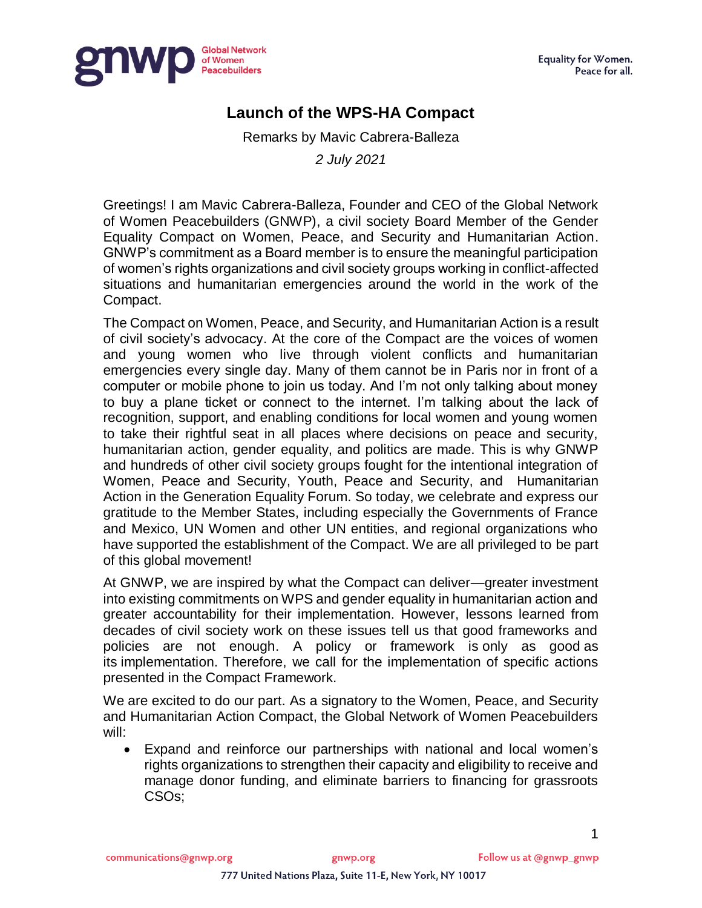

## **Launch of the WPS-HA Compact**

Remarks by Mavic Cabrera-Balleza

*2 July 2021*

Greetings! I am Mavic Cabrera-Balleza, Founder and CEO of the Global Network of Women Peacebuilders (GNWP), a civil society Board Member of the Gender Equality Compact on Women, Peace, and Security and Humanitarian Action. GNWP's commitment as a Board member is to ensure the meaningful participation of women's rights organizations and civil society groups working in conflict-affected situations and humanitarian emergencies around the world in the work of the Compact.

The Compact on Women, Peace, and Security, and Humanitarian Action is a result of civil society's advocacy. At the core of the Compact are the voices of women and young women who live through violent conflicts and humanitarian emergencies every single day. Many of them cannot be in Paris nor in front of a computer or mobile phone to join us today. And I'm not only talking about money to buy a plane ticket or connect to the internet. I'm talking about the lack of recognition, support, and enabling conditions for local women and young women to take their rightful seat in all places where decisions on peace and security, humanitarian action, gender equality, and politics are made. This is why GNWP and hundreds of other civil society groups fought for the intentional integration of Women, Peace and Security, Youth, Peace and Security, and Humanitarian Action in the Generation Equality Forum. So today, we celebrate and express our gratitude to the Member States, including especially the Governments of France and Mexico, UN Women and other UN entities, and regional organizations who have supported the establishment of the Compact. We are all privileged to be part of this global movement!

At GNWP, we are inspired by what the Compact can deliver—greater investment into existing commitments on WPS and gender equality in humanitarian action and greater accountability for their implementation. However, lessons learned from decades of civil society work on these issues tell us that good frameworks and policies are not enough. A policy or framework is only as good as its implementation. Therefore, we call for the implementation of specific actions presented in the Compact Framework.

We are excited to do our part. As a signatory to the Women, Peace, and Security and Humanitarian Action Compact, the Global Network of Women Peacebuilders will:

 Expand and reinforce our partnerships with national and local women's rights organizations to strengthen their capacity and eligibility to receive and manage donor funding, and eliminate barriers to financing for grassroots CSOs;

1